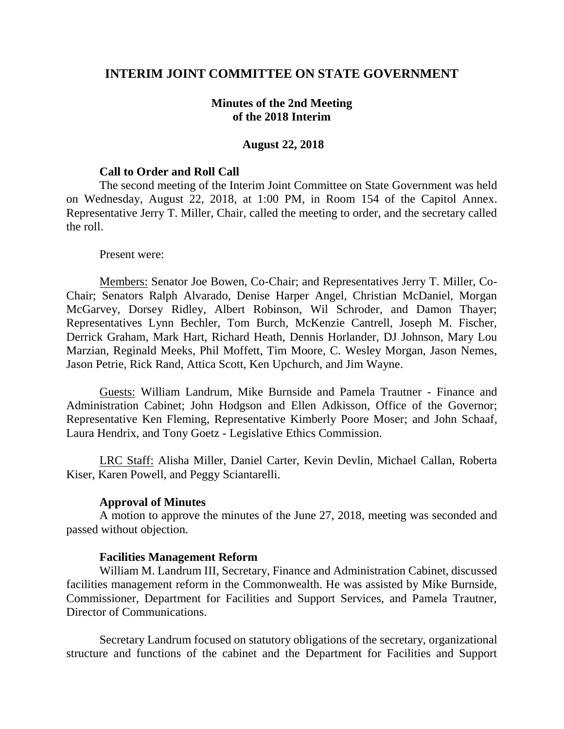### **INTERIM JOINT COMMITTEE ON STATE GOVERNMENT**

### **Minutes of the 2nd Meeting of the 2018 Interim**

#### **August 22, 2018**

#### **Call to Order and Roll Call**

The second meeting of the Interim Joint Committee on State Government was held on Wednesday, August 22, 2018, at 1:00 PM, in Room 154 of the Capitol Annex. Representative Jerry T. Miller, Chair, called the meeting to order, and the secretary called the roll.

#### Present were:

Members: Senator Joe Bowen, Co-Chair; and Representatives Jerry T. Miller, Co-Chair; Senators Ralph Alvarado, Denise Harper Angel, Christian McDaniel, Morgan McGarvey, Dorsey Ridley, Albert Robinson, Wil Schroder, and Damon Thayer; Representatives Lynn Bechler, Tom Burch, McKenzie Cantrell, Joseph M. Fischer, Derrick Graham, Mark Hart, Richard Heath, Dennis Horlander, DJ Johnson, Mary Lou Marzian, Reginald Meeks, Phil Moffett, Tim Moore, C. Wesley Morgan, Jason Nemes, Jason Petrie, Rick Rand, Attica Scott, Ken Upchurch, and Jim Wayne.

Guests: William Landrum, Mike Burnside and Pamela Trautner - Finance and Administration Cabinet; John Hodgson and Ellen Adkisson, Office of the Governor; Representative Ken Fleming, Representative Kimberly Poore Moser; and John Schaaf, Laura Hendrix, and Tony Goetz - Legislative Ethics Commission.

LRC Staff: Alisha Miller, Daniel Carter, Kevin Devlin, Michael Callan, Roberta Kiser, Karen Powell, and Peggy Sciantarelli.

### **Approval of Minutes**

A motion to approve the minutes of the June 27, 2018, meeting was seconded and passed without objection.

### **Facilities Management Reform**

William M. Landrum III, Secretary, Finance and Administration Cabinet, discussed facilities management reform in the Commonwealth. He was assisted by Mike Burnside, Commissioner, Department for Facilities and Support Services, and Pamela Trautner, Director of Communications.

Secretary Landrum focused on statutory obligations of the secretary, organizational structure and functions of the cabinet and the Department for Facilities and Support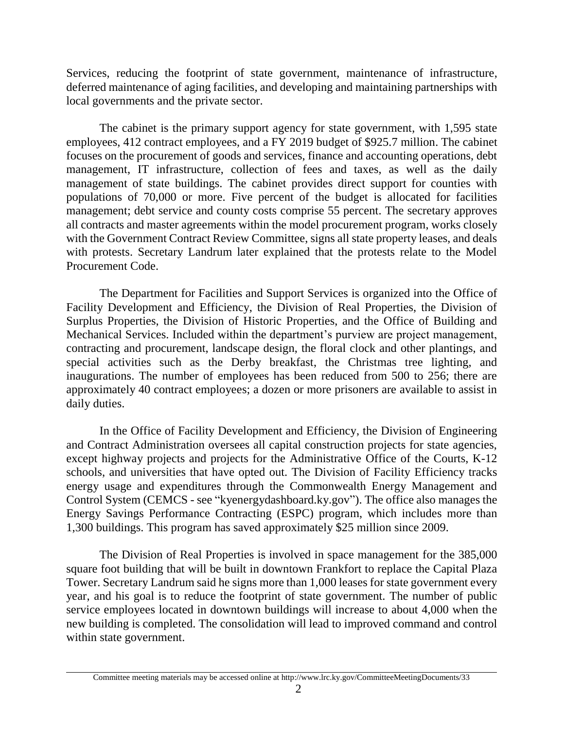Services, reducing the footprint of state government, maintenance of infrastructure, deferred maintenance of aging facilities, and developing and maintaining partnerships with local governments and the private sector.

The cabinet is the primary support agency for state government, with 1,595 state employees, 412 contract employees, and a FY 2019 budget of \$925.7 million. The cabinet focuses on the procurement of goods and services, finance and accounting operations, debt management, IT infrastructure, collection of fees and taxes, as well as the daily management of state buildings. The cabinet provides direct support for counties with populations of 70,000 or more. Five percent of the budget is allocated for facilities management; debt service and county costs comprise 55 percent. The secretary approves all contracts and master agreements within the model procurement program, works closely with the Government Contract Review Committee, signs all state property leases, and deals with protests. Secretary Landrum later explained that the protests relate to the Model Procurement Code.

The Department for Facilities and Support Services is organized into the Office of Facility Development and Efficiency, the Division of Real Properties, the Division of Surplus Properties, the Division of Historic Properties, and the Office of Building and Mechanical Services. Included within the department's purview are project management, contracting and procurement, landscape design, the floral clock and other plantings, and special activities such as the Derby breakfast, the Christmas tree lighting, and inaugurations. The number of employees has been reduced from 500 to 256; there are approximately 40 contract employees; a dozen or more prisoners are available to assist in daily duties.

In the Office of Facility Development and Efficiency, the Division of Engineering and Contract Administration oversees all capital construction projects for state agencies, except highway projects and projects for the Administrative Office of the Courts, K-12 schools, and universities that have opted out. The Division of Facility Efficiency tracks energy usage and expenditures through the Commonwealth Energy Management and Control System (CEMCS - see "kyenergydashboard.ky.gov"). The office also manages the Energy Savings Performance Contracting (ESPC) program, which includes more than 1,300 buildings. This program has saved approximately \$25 million since 2009.

The Division of Real Properties is involved in space management for the 385,000 square foot building that will be built in downtown Frankfort to replace the Capital Plaza Tower. Secretary Landrum said he signs more than 1,000 leases for state government every year, and his goal is to reduce the footprint of state government. The number of public service employees located in downtown buildings will increase to about 4,000 when the new building is completed. The consolidation will lead to improved command and control within state government.

Committee meeting materials may be accessed online at http://www.lrc.ky.gov/CommitteeMeetingDocuments/33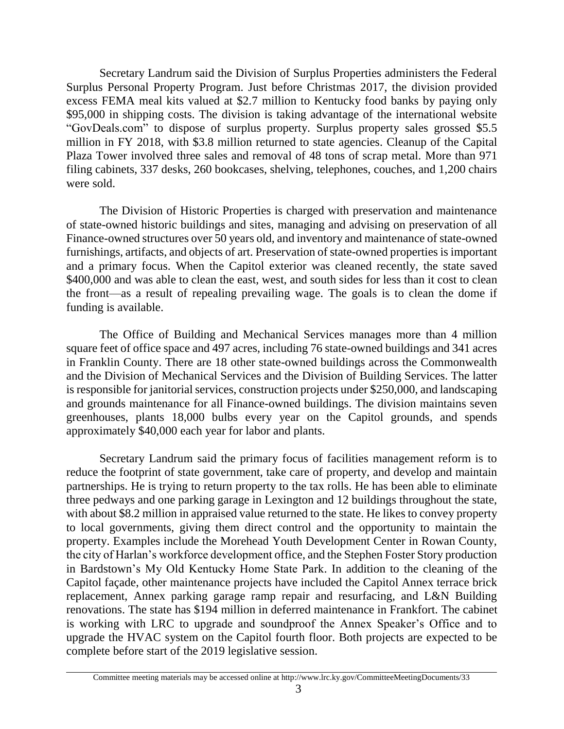Secretary Landrum said the Division of Surplus Properties administers the Federal Surplus Personal Property Program. Just before Christmas 2017, the division provided excess FEMA meal kits valued at \$2.7 million to Kentucky food banks by paying only \$95,000 in shipping costs. The division is taking advantage of the international website "GovDeals.com" to dispose of surplus property. Surplus property sales grossed \$5.5 million in FY 2018, with \$3.8 million returned to state agencies. Cleanup of the Capital Plaza Tower involved three sales and removal of 48 tons of scrap metal. More than 971 filing cabinets, 337 desks, 260 bookcases, shelving, telephones, couches, and 1,200 chairs were sold.

The Division of Historic Properties is charged with preservation and maintenance of state-owned historic buildings and sites, managing and advising on preservation of all Finance-owned structures over 50 years old, and inventory and maintenance of state-owned furnishings, artifacts, and objects of art. Preservation of state-owned properties is important and a primary focus. When the Capitol exterior was cleaned recently, the state saved \$400,000 and was able to clean the east, west, and south sides for less than it cost to clean the front—as a result of repealing prevailing wage. The goals is to clean the dome if funding is available.

The Office of Building and Mechanical Services manages more than 4 million square feet of office space and 497 acres, including 76 state-owned buildings and 341 acres in Franklin County. There are 18 other state-owned buildings across the Commonwealth and the Division of Mechanical Services and the Division of Building Services. The latter is responsible for janitorial services, construction projects under \$250,000, and landscaping and grounds maintenance for all Finance-owned buildings. The division maintains seven greenhouses, plants 18,000 bulbs every year on the Capitol grounds, and spends approximately \$40,000 each year for labor and plants.

Secretary Landrum said the primary focus of facilities management reform is to reduce the footprint of state government, take care of property, and develop and maintain partnerships. He is trying to return property to the tax rolls. He has been able to eliminate three pedways and one parking garage in Lexington and 12 buildings throughout the state, with about \$8.2 million in appraised value returned to the state. He likes to convey property to local governments, giving them direct control and the opportunity to maintain the property. Examples include the Morehead Youth Development Center in Rowan County, the city of Harlan's workforce development office, and the Stephen Foster Story production in Bardstown's My Old Kentucky Home State Park. In addition to the cleaning of the Capitol façade, other maintenance projects have included the Capitol Annex terrace brick replacement, Annex parking garage ramp repair and resurfacing, and L&N Building renovations. The state has \$194 million in deferred maintenance in Frankfort. The cabinet is working with LRC to upgrade and soundproof the Annex Speaker's Office and to upgrade the HVAC system on the Capitol fourth floor. Both projects are expected to be complete before start of the 2019 legislative session.

Committee meeting materials may be accessed online at http://www.lrc.ky.gov/CommitteeMeetingDocuments/33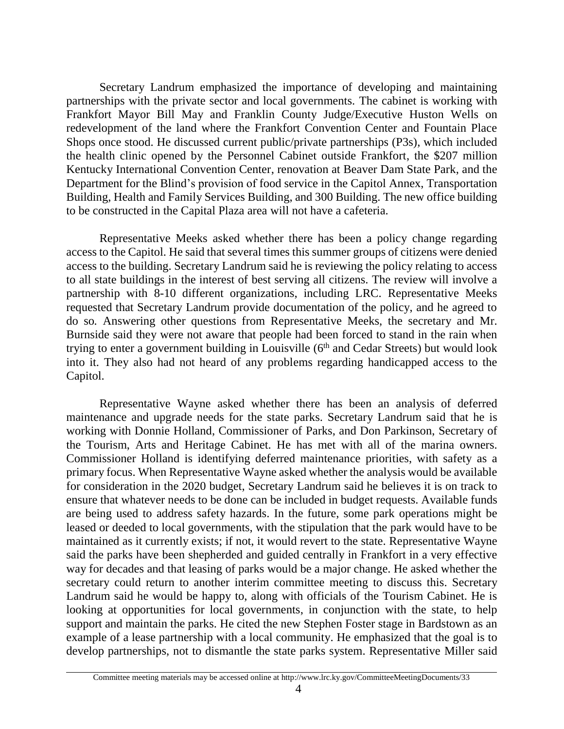Secretary Landrum emphasized the importance of developing and maintaining partnerships with the private sector and local governments. The cabinet is working with Frankfort Mayor Bill May and Franklin County Judge/Executive Huston Wells on redevelopment of the land where the Frankfort Convention Center and Fountain Place Shops once stood. He discussed current public/private partnerships (P3s), which included the health clinic opened by the Personnel Cabinet outside Frankfort, the \$207 million Kentucky International Convention Center, renovation at Beaver Dam State Park, and the Department for the Blind's provision of food service in the Capitol Annex, Transportation Building, Health and Family Services Building, and 300 Building. The new office building to be constructed in the Capital Plaza area will not have a cafeteria.

Representative Meeks asked whether there has been a policy change regarding access to the Capitol. He said that several times this summer groups of citizens were denied access to the building. Secretary Landrum said he is reviewing the policy relating to access to all state buildings in the interest of best serving all citizens. The review will involve a partnership with 8-10 different organizations, including LRC. Representative Meeks requested that Secretary Landrum provide documentation of the policy, and he agreed to do so*.* Answering other questions from Representative Meeks, the secretary and Mr. Burnside said they were not aware that people had been forced to stand in the rain when trying to enter a government building in Louisville  $(6<sup>th</sup>$  and Cedar Streets) but would look into it. They also had not heard of any problems regarding handicapped access to the Capitol.

Representative Wayne asked whether there has been an analysis of deferred maintenance and upgrade needs for the state parks. Secretary Landrum said that he is working with Donnie Holland, Commissioner of Parks, and Don Parkinson, Secretary of the Tourism, Arts and Heritage Cabinet. He has met with all of the marina owners. Commissioner Holland is identifying deferred maintenance priorities, with safety as a primary focus. When Representative Wayne asked whether the analysis would be available for consideration in the 2020 budget, Secretary Landrum said he believes it is on track to ensure that whatever needs to be done can be included in budget requests. Available funds are being used to address safety hazards. In the future, some park operations might be leased or deeded to local governments, with the stipulation that the park would have to be maintained as it currently exists; if not, it would revert to the state. Representative Wayne said the parks have been shepherded and guided centrally in Frankfort in a very effective way for decades and that leasing of parks would be a major change. He asked whether the secretary could return to another interim committee meeting to discuss this. Secretary Landrum said he would be happy to, along with officials of the Tourism Cabinet. He is looking at opportunities for local governments, in conjunction with the state, to help support and maintain the parks. He cited the new Stephen Foster stage in Bardstown as an example of a lease partnership with a local community. He emphasized that the goal is to develop partnerships, not to dismantle the state parks system. Representative Miller said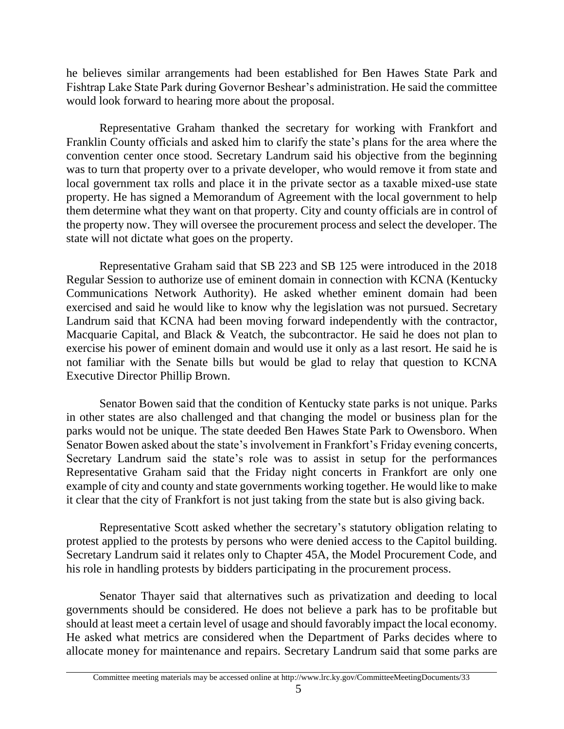he believes similar arrangements had been established for Ben Hawes State Park and Fishtrap Lake State Park during Governor Beshear's administration. He said the committee would look forward to hearing more about the proposal.

Representative Graham thanked the secretary for working with Frankfort and Franklin County officials and asked him to clarify the state's plans for the area where the convention center once stood. Secretary Landrum said his objective from the beginning was to turn that property over to a private developer, who would remove it from state and local government tax rolls and place it in the private sector as a taxable mixed-use state property. He has signed a Memorandum of Agreement with the local government to help them determine what they want on that property. City and county officials are in control of the property now. They will oversee the procurement process and select the developer. The state will not dictate what goes on the property.

Representative Graham said that SB 223 and SB 125 were introduced in the 2018 Regular Session to authorize use of eminent domain in connection with KCNA (Kentucky Communications Network Authority). He asked whether eminent domain had been exercised and said he would like to know why the legislation was not pursued. Secretary Landrum said that KCNA had been moving forward independently with the contractor, Macquarie Capital, and Black & Veatch, the subcontractor. He said he does not plan to exercise his power of eminent domain and would use it only as a last resort. He said he is not familiar with the Senate bills but would be glad to relay that question to KCNA Executive Director Phillip Brown.

Senator Bowen said that the condition of Kentucky state parks is not unique. Parks in other states are also challenged and that changing the model or business plan for the parks would not be unique. The state deeded Ben Hawes State Park to Owensboro. When Senator Bowen asked about the state's involvement in Frankfort's Friday evening concerts, Secretary Landrum said the state's role was to assist in setup for the performances Representative Graham said that the Friday night concerts in Frankfort are only one example of city and county and state governments working together. He would like to make it clear that the city of Frankfort is not just taking from the state but is also giving back.

Representative Scott asked whether the secretary's statutory obligation relating to protest applied to the protests by persons who were denied access to the Capitol building. Secretary Landrum said it relates only to Chapter 45A, the Model Procurement Code, and his role in handling protests by bidders participating in the procurement process.

Senator Thayer said that alternatives such as privatization and deeding to local governments should be considered. He does not believe a park has to be profitable but should at least meet a certain level of usage and should favorably impact the local economy. He asked what metrics are considered when the Department of Parks decides where to allocate money for maintenance and repairs. Secretary Landrum said that some parks are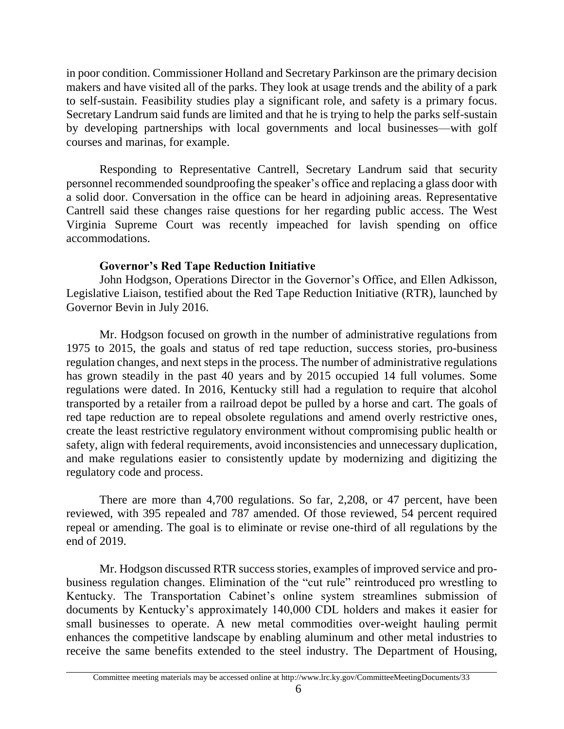in poor condition. Commissioner Holland and Secretary Parkinson are the primary decision makers and have visited all of the parks. They look at usage trends and the ability of a park to self-sustain. Feasibility studies play a significant role, and safety is a primary focus. Secretary Landrum said funds are limited and that he is trying to help the parks self-sustain by developing partnerships with local governments and local businesses—with golf courses and marinas, for example.

Responding to Representative Cantrell, Secretary Landrum said that security personnel recommended soundproofing the speaker's office and replacing a glass door with a solid door. Conversation in the office can be heard in adjoining areas. Representative Cantrell said these changes raise questions for her regarding public access. The West Virginia Supreme Court was recently impeached for lavish spending on office accommodations.

## **Governor's Red Tape Reduction Initiative**

John Hodgson, Operations Director in the Governor's Office, and Ellen Adkisson, Legislative Liaison, testified about the Red Tape Reduction Initiative (RTR), launched by Governor Bevin in July 2016.

Mr. Hodgson focused on growth in the number of administrative regulations from 1975 to 2015, the goals and status of red tape reduction, success stories, pro-business regulation changes, and next steps in the process. The number of administrative regulations has grown steadily in the past 40 years and by 2015 occupied 14 full volumes. Some regulations were dated. In 2016, Kentucky still had a regulation to require that alcohol transported by a retailer from a railroad depot be pulled by a horse and cart. The goals of red tape reduction are to repeal obsolete regulations and amend overly restrictive ones, create the least restrictive regulatory environment without compromising public health or safety, align with federal requirements, avoid inconsistencies and unnecessary duplication, and make regulations easier to consistently update by modernizing and digitizing the regulatory code and process.

There are more than 4,700 regulations. So far, 2,208, or 47 percent, have been reviewed, with 395 repealed and 787 amended. Of those reviewed, 54 percent required repeal or amending. The goal is to eliminate or revise one-third of all regulations by the end of 2019.

Mr. Hodgson discussed RTR success stories, examples of improved service and probusiness regulation changes. Elimination of the "cut rule" reintroduced pro wrestling to Kentucky. The Transportation Cabinet's online system streamlines submission of documents by Kentucky's approximately 140,000 CDL holders and makes it easier for small businesses to operate. A new metal commodities over-weight hauling permit enhances the competitive landscape by enabling aluminum and other metal industries to receive the same benefits extended to the steel industry. The Department of Housing,

Committee meeting materials may be accessed online at http://www.lrc.ky.gov/CommitteeMeetingDocuments/33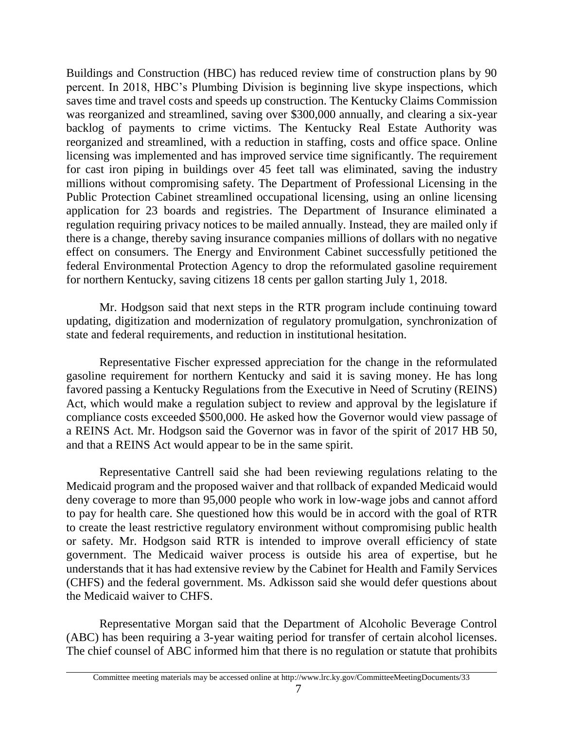Buildings and Construction (HBC) has reduced review time of construction plans by 90 percent. In 2018, HBC's Plumbing Division is beginning live skype inspections, which saves time and travel costs and speeds up construction. The Kentucky Claims Commission was reorganized and streamlined, saving over \$300,000 annually, and clearing a six-year backlog of payments to crime victims. The Kentucky Real Estate Authority was reorganized and streamlined, with a reduction in staffing, costs and office space. Online licensing was implemented and has improved service time significantly. The requirement for cast iron piping in buildings over 45 feet tall was eliminated, saving the industry millions without compromising safety. The Department of Professional Licensing in the Public Protection Cabinet streamlined occupational licensing, using an online licensing application for 23 boards and registries. The Department of Insurance eliminated a regulation requiring privacy notices to be mailed annually. Instead, they are mailed only if there is a change, thereby saving insurance companies millions of dollars with no negative effect on consumers. The Energy and Environment Cabinet successfully petitioned the federal Environmental Protection Agency to drop the reformulated gasoline requirement for northern Kentucky, saving citizens 18 cents per gallon starting July 1, 2018.

Mr. Hodgson said that next steps in the RTR program include continuing toward updating, digitization and modernization of regulatory promulgation, synchronization of state and federal requirements, and reduction in institutional hesitation.

Representative Fischer expressed appreciation for the change in the reformulated gasoline requirement for northern Kentucky and said it is saving money. He has long favored passing a Kentucky Regulations from the Executive in Need of Scrutiny (REINS) Act, which would make a regulation subject to review and approval by the legislature if compliance costs exceeded \$500,000. He asked how the Governor would view passage of a REINS Act. Mr. Hodgson said the Governor was in favor of the spirit of 2017 HB 50, and that a REINS Act would appear to be in the same spirit.

Representative Cantrell said she had been reviewing regulations relating to the Medicaid program and the proposed waiver and that rollback of expanded Medicaid would deny coverage to more than 95,000 people who work in low-wage jobs and cannot afford to pay for health care. She questioned how this would be in accord with the goal of RTR to create the least restrictive regulatory environment without compromising public health or safety. Mr. Hodgson said RTR is intended to improve overall efficiency of state government. The Medicaid waiver process is outside his area of expertise, but he understands that it has had extensive review by the Cabinet for Health and Family Services (CHFS) and the federal government. Ms. Adkisson said she would defer questions about the Medicaid waiver to CHFS.

Representative Morgan said that the Department of Alcoholic Beverage Control (ABC) has been requiring a 3-year waiting period for transfer of certain alcohol licenses. The chief counsel of ABC informed him that there is no regulation or statute that prohibits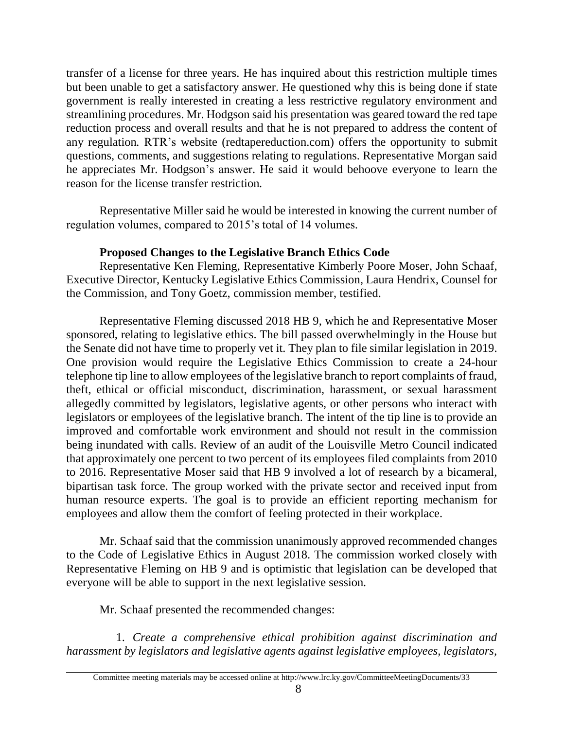transfer of a license for three years. He has inquired about this restriction multiple times but been unable to get a satisfactory answer. He questioned why this is being done if state government is really interested in creating a less restrictive regulatory environment and streamlining procedures. Mr. Hodgson said his presentation was geared toward the red tape reduction process and overall results and that he is not prepared to address the content of any regulation*.* RTR's website (redtapereduction.com) offers the opportunity to submit questions, comments, and suggestions relating to regulations. Representative Morgan said he appreciates Mr. Hodgson's answer. He said it would behoove everyone to learn the reason for the license transfer restriction*.*

Representative Miller said he would be interested in knowing the current number of regulation volumes, compared to 2015's total of 14 volumes*.* 

## **Proposed Changes to the Legislative Branch Ethics Code**

Representative Ken Fleming, Representative Kimberly Poore Moser, John Schaaf, Executive Director, Kentucky Legislative Ethics Commission, Laura Hendrix, Counsel for the Commission, and Tony Goetz, commission member, testified.

Representative Fleming discussed 2018 HB 9, which he and Representative Moser sponsored, relating to legislative ethics. The bill passed overwhelmingly in the House but the Senate did not have time to properly vet it. They plan to file similar legislation in 2019. One provision would require the Legislative Ethics Commission to create a 24-hour telephone tip line to allow employees of the legislative branch to report complaints of fraud, theft, ethical or official misconduct, discrimination, harassment, or sexual harassment allegedly committed by legislators, legislative agents, or other persons who interact with legislators or employees of the legislative branch. The intent of the tip line is to provide an improved and comfortable work environment and should not result in the commission being inundated with calls. Review of an audit of the Louisville Metro Council indicated that approximately one percent to two percent of its employees filed complaints from 2010 to 2016. Representative Moser said that HB 9 involved a lot of research by a bicameral, bipartisan task force. The group worked with the private sector and received input from human resource experts. The goal is to provide an efficient reporting mechanism for employees and allow them the comfort of feeling protected in their workplace.

Mr. Schaaf said that the commission unanimously approved recommended changes to the Code of Legislative Ethics in August 2018. The commission worked closely with Representative Fleming on HB 9 and is optimistic that legislation can be developed that everyone will be able to support in the next legislative session*.*

Mr. Schaaf presented the recommended changes:

1. *Create a comprehensive ethical prohibition against discrimination and harassment by legislators and legislative agents against legislative employees, legislators,*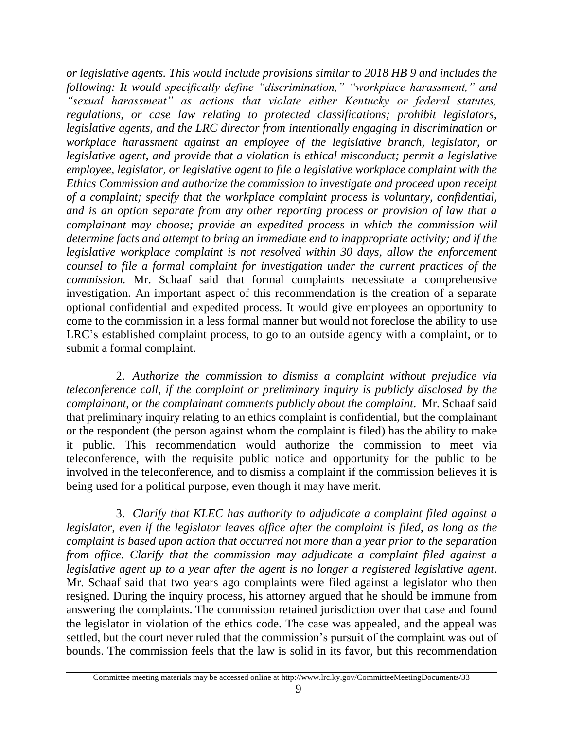*or legislative agents. This would include provisions similar to 2018 HB 9 and includes the following: It would specifically define "discrimination," "workplace harassment," and "sexual harassment" as actions that violate either Kentucky or federal statutes, regulations, or case law relating to protected classifications; prohibit legislators, legislative agents, and the LRC director from intentionally engaging in discrimination or workplace harassment against an employee of the legislative branch, legislator, or legislative agent, and provide that a violation is ethical misconduct; permit a legislative employee, legislator, or legislative agent to file a legislative workplace complaint with the Ethics Commission and authorize the commission to investigate and proceed upon receipt of a complaint; specify that the workplace complaint process is voluntary, confidential, and is an option separate from any other reporting process or provision of law that a complainant may choose; provide an expedited process in which the commission will determine facts and attempt to bring an immediate end to inappropriate activity; and if the legislative workplace complaint is not resolved within 30 days, allow the enforcement counsel to file a formal complaint for investigation under the current practices of the commission.* Mr. Schaaf said that formal complaints necessitate a comprehensive investigation. An important aspect of this recommendation is the creation of a separate optional confidential and expedited process. It would give employees an opportunity to come to the commission in a less formal manner but would not foreclose the ability to use LRC's established complaint process, to go to an outside agency with a complaint, or to submit a formal complaint.

2. *Authorize the commission to dismiss a complaint without prejudice via teleconference call, if the complaint or preliminary inquiry is publicly disclosed by the complainant, or the complainant comments publicly about the complaint*. Mr. Schaaf said that preliminary inquiry relating to an ethics complaint is confidential, but the complainant or the respondent (the person against whom the complaint is filed) has the ability to make it public. This recommendation would authorize the commission to meet via teleconference, with the requisite public notice and opportunity for the public to be involved in the teleconference, and to dismiss a complaint if the commission believes it is being used for a political purpose, even though it may have merit.

3. *Clarify that KLEC has authority to adjudicate a complaint filed against a legislator, even if the legislator leaves office after the complaint is filed, as long as the complaint is based upon action that occurred not more than a year prior to the separation from office. Clarify that the commission may adjudicate a complaint filed against a legislative agent up to a year after the agent is no longer a registered legislative agent*. Mr. Schaaf said that two years ago complaints were filed against a legislator who then resigned. During the inquiry process, his attorney argued that he should be immune from answering the complaints. The commission retained jurisdiction over that case and found the legislator in violation of the ethics code. The case was appealed, and the appeal was settled, but the court never ruled that the commission's pursuit of the complaint was out of bounds. The commission feels that the law is solid in its favor, but this recommendation

Committee meeting materials may be accessed online at http://www.lrc.ky.gov/CommitteeMeetingDocuments/33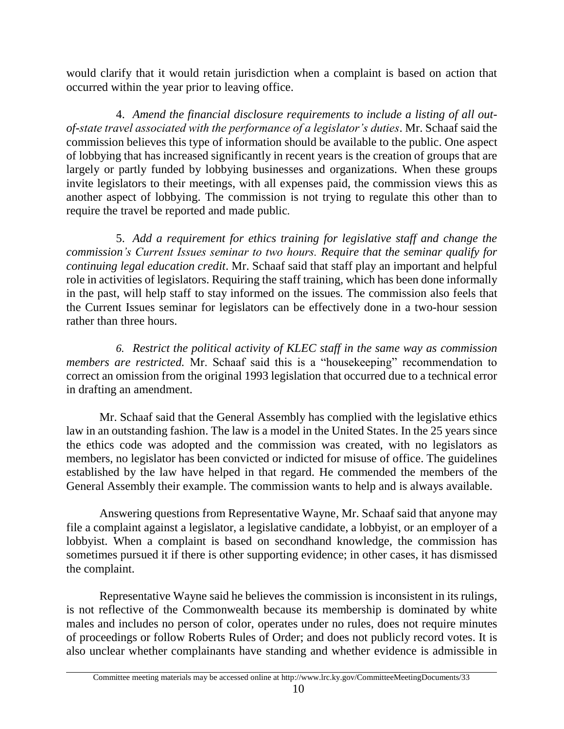would clarify that it would retain jurisdiction when a complaint is based on action that occurred within the year prior to leaving office.

4. *Amend the financial disclosure requirements to include a listing of all outof-state travel associated with the performance of a legislator's duties*. Mr. Schaaf said the commission believes this type of information should be available to the public. One aspect of lobbying that has increased significantly in recent years is the creation of groups that are largely or partly funded by lobbying businesses and organizations. When these groups invite legislators to their meetings, with all expenses paid, the commission views this as another aspect of lobbying. The commission is not trying to regulate this other than to require the travel be reported and made public*.* 

5. *Add a requirement for ethics training for legislative staff and change the commission's Current Issues seminar to two hours. Require that the seminar qualify for continuing legal education credit*. Mr. Schaaf said that staff play an important and helpful role in activities of legislators. Requiring the staff training, which has been done informally in the past, will help staff to stay informed on the issues*.* The commission also feels that the Current Issues seminar for legislators can be effectively done in a two-hour session rather than three hours.

*6. Restrict the political activity of KLEC staff in the same way as commission members are restricted.* Mr. Schaaf said this is a "housekeeping" recommendation to correct an omission from the original 1993 legislation that occurred due to a technical error in drafting an amendment.

Mr. Schaaf said that the General Assembly has complied with the legislative ethics law in an outstanding fashion. The law is a model in the United States. In the 25 years since the ethics code was adopted and the commission was created, with no legislators as members, no legislator has been convicted or indicted for misuse of office. The guidelines established by the law have helped in that regard. He commended the members of the General Assembly their example. The commission wants to help and is always available.

Answering questions from Representative Wayne, Mr. Schaaf said that anyone may file a complaint against a legislator, a legislative candidate, a lobbyist, or an employer of a lobbyist. When a complaint is based on secondhand knowledge, the commission has sometimes pursued it if there is other supporting evidence; in other cases, it has dismissed the complaint.

Representative Wayne said he believes the commission is inconsistent in its rulings, is not reflective of the Commonwealth because its membership is dominated by white males and includes no person of color, operates under no rules, does not require minutes of proceedings or follow Roberts Rules of Order; and does not publicly record votes. It is also unclear whether complainants have standing and whether evidence is admissible in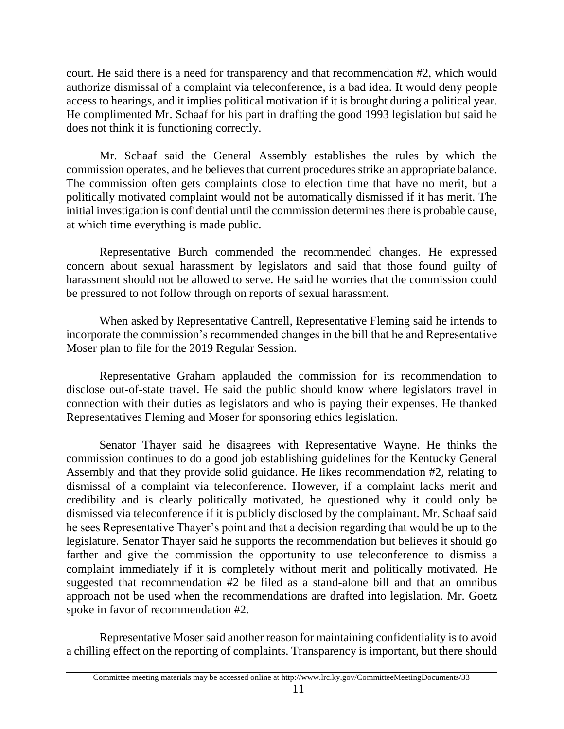court. He said there is a need for transparency and that recommendation #2, which would authorize dismissal of a complaint via teleconference, is a bad idea. It would deny people access to hearings, and it implies political motivation if it is brought during a political year. He complimented Mr. Schaaf for his part in drafting the good 1993 legislation but said he does not think it is functioning correctly.

Mr. Schaaf said the General Assembly establishes the rules by which the commission operates, and he believes that current procedures strike an appropriate balance. The commission often gets complaints close to election time that have no merit, but a politically motivated complaint would not be automatically dismissed if it has merit. The initial investigation is confidential until the commission determines there is probable cause, at which time everything is made public.

Representative Burch commended the recommended changes. He expressed concern about sexual harassment by legislators and said that those found guilty of harassment should not be allowed to serve. He said he worries that the commission could be pressured to not follow through on reports of sexual harassment.

When asked by Representative Cantrell, Representative Fleming said he intends to incorporate the commission's recommended changes in the bill that he and Representative Moser plan to file for the 2019 Regular Session.

Representative Graham applauded the commission for its recommendation to disclose out-of-state travel. He said the public should know where legislators travel in connection with their duties as legislators and who is paying their expenses. He thanked Representatives Fleming and Moser for sponsoring ethics legislation.

Senator Thayer said he disagrees with Representative Wayne. He thinks the commission continues to do a good job establishing guidelines for the Kentucky General Assembly and that they provide solid guidance. He likes recommendation #2, relating to dismissal of a complaint via teleconference. However, if a complaint lacks merit and credibility and is clearly politically motivated, he questioned why it could only be dismissed via teleconference if it is publicly disclosed by the complainant. Mr. Schaaf said he sees Representative Thayer's point and that a decision regarding that would be up to the legislature. Senator Thayer said he supports the recommendation but believes it should go farther and give the commission the opportunity to use teleconference to dismiss a complaint immediately if it is completely without merit and politically motivated. He suggested that recommendation #2 be filed as a stand-alone bill and that an omnibus approach not be used when the recommendations are drafted into legislation. Mr. Goetz spoke in favor of recommendation #2.

Representative Moser said another reason for maintaining confidentiality is to avoid a chilling effect on the reporting of complaints. Transparency is important, but there should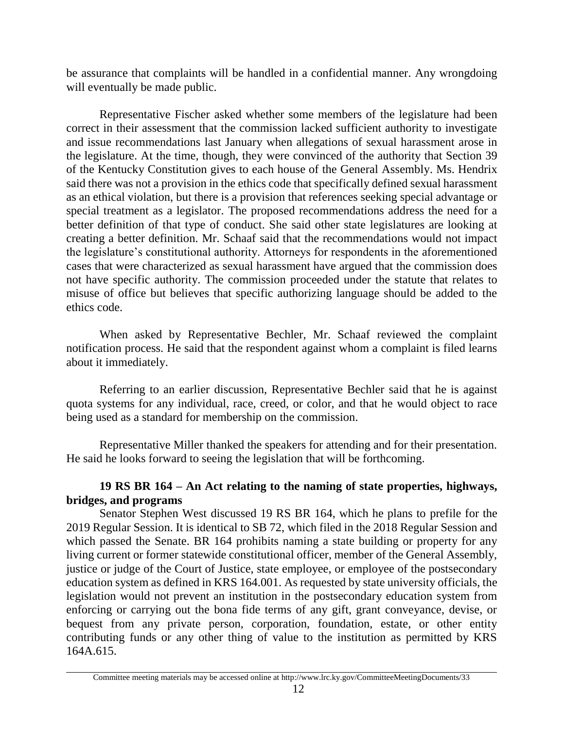be assurance that complaints will be handled in a confidential manner. Any wrongdoing will eventually be made public.

Representative Fischer asked whether some members of the legislature had been correct in their assessment that the commission lacked sufficient authority to investigate and issue recommendations last January when allegations of sexual harassment arose in the legislature. At the time, though, they were convinced of the authority that Section 39 of the Kentucky Constitution gives to each house of the General Assembly. Ms. Hendrix said there was not a provision in the ethics code that specifically defined sexual harassment as an ethical violation, but there is a provision that references seeking special advantage or special treatment as a legislator. The proposed recommendations address the need for a better definition of that type of conduct. She said other state legislatures are looking at creating a better definition. Mr. Schaaf said that the recommendations would not impact the legislature's constitutional authority. Attorneys for respondents in the aforementioned cases that were characterized as sexual harassment have argued that the commission does not have specific authority. The commission proceeded under the statute that relates to misuse of office but believes that specific authorizing language should be added to the ethics code.

When asked by Representative Bechler, Mr. Schaaf reviewed the complaint notification process. He said that the respondent against whom a complaint is filed learns about it immediately.

Referring to an earlier discussion, Representative Bechler said that he is against quota systems for any individual, race, creed, or color, and that he would object to race being used as a standard for membership on the commission.

Representative Miller thanked the speakers for attending and for their presentation. He said he looks forward to seeing the legislation that will be forthcoming.

# **19 RS BR 164 – An Act relating to the naming of state properties, highways, bridges, and programs**

Senator Stephen West discussed 19 RS BR 164, which he plans to prefile for the 2019 Regular Session. It is identical to SB 72, which filed in the 2018 Regular Session and which passed the Senate. BR 164 prohibits naming a state building or property for any living current or former statewide constitutional officer, member of the General Assembly, justice or judge of the Court of Justice, state employee, or employee of the postsecondary education system as defined in KRS 164.001. As requested by state university officials, the legislation would not prevent an institution in the postsecondary education system from enforcing or carrying out the bona fide terms of any gift, grant conveyance, devise, or bequest from any private person, corporation, foundation, estate, or other entity contributing funds or any other thing of value to the institution as permitted by KRS 164A.615.

Committee meeting materials may be accessed online at http://www.lrc.ky.gov/CommitteeMeetingDocuments/33